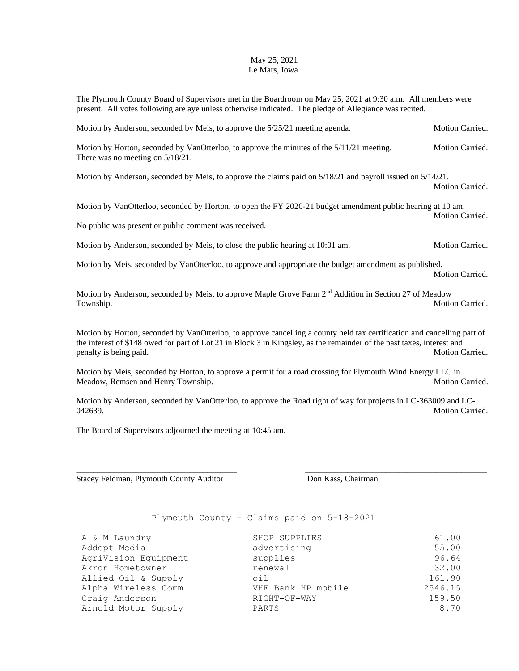## May 25, 2021 Le Mars, Iowa

The Plymouth County Board of Supervisors met in the Boardroom on May 25, 2021 at 9:30 a.m. All members were present. All votes following are aye unless otherwise indicated. The pledge of Allegiance was recited.

Motion by Anderson, seconded by Meis, to approve the 5/25/21 meeting agenda. Motion Carried.

Motion by Horton, seconded by VanOtterloo, to approve the minutes of the  $5/11/21$  meeting. Motion Carried. There was no meeting on 5/18/21.

Motion by Anderson, seconded by Meis, to approve the claims paid on 5/18/21 and payroll issued on 5/14/21.

Motion Carried.

Motion by VanOtterloo, seconded by Horton, to open the FY 2020-21 budget amendment public hearing at 10 am. Motion Carried.

No public was present or public comment was received.

Motion by Anderson, seconded by Meis, to close the public hearing at 10:01 am. Motion Carried.

Motion by Meis, seconded by VanOtterloo, to approve and appropriate the budget amendment as published. Motion Carried.

Motion by Anderson, seconded by Meis, to approve Maple Grove Farm 2<sup>nd</sup> Addition in Section 27 of Meadow Township. Motion Carried.

Motion by Horton, seconded by VanOtterloo, to approve cancelling a county held tax certification and cancelling part of the interest of \$148 owed for part of Lot 21 in Block 3 in Kingsley, as the remainder of the past taxes, interest and penalty is being paid. Motion Carried. Motion Carried.

Motion by Meis, seconded by Horton, to approve a permit for a road crossing for Plymouth Wind Energy LLC in Meadow, Remsen and Henry Township. Motion Carried. Motion Carried.

Motion by Anderson, seconded by VanOtterloo, to approve the Road right of way for projects in LC-363009 and LC-042639. Motion Carried.

\_\_\_\_\_\_\_\_\_\_\_\_\_\_\_\_\_\_\_\_\_\_\_\_\_\_\_\_\_\_\_\_\_\_\_\_\_\_ \_\_\_\_\_\_\_\_\_\_\_\_\_\_\_\_\_\_\_\_\_\_\_\_\_\_\_\_\_\_\_\_\_\_\_\_\_\_\_\_\_\_\_

The Board of Supervisors adjourned the meeting at 10:45 am.

Stacey Feldman, Plymouth County Auditor **Don Kass, Chairman** 

Plymouth County – Claims paid on 5-18-2021

| A & M Laundry        | SHOP SUPPLIES      | 61.00   |
|----------------------|--------------------|---------|
| Addept Media         | advertising        | 55.00   |
| AgriVision Equipment | supplies           | 96.64   |
| Akron Hometowner     | renewal            | 32.00   |
| Allied Oil & Supply  | oil                | 161.90  |
| Alpha Wireless Comm  | VHF Bank HP mobile | 2546.15 |
| Craig Anderson       | RIGHT-OF-WAY       | 159.50  |
| Arnold Motor Supply  | PARTS              | 8.70    |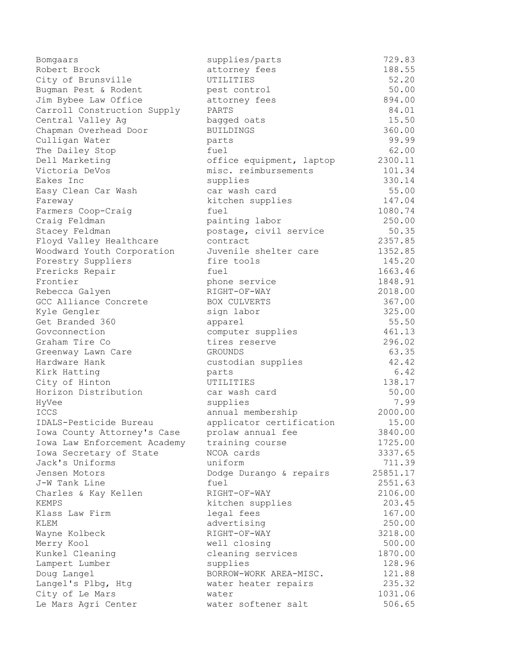| Bomgaars                              | supplies/parts                | 729.83   |
|---------------------------------------|-------------------------------|----------|
| Robert Brock                          | attorney fees                 | 188.55   |
| City of Brunsville                    | UTILITIES                     | 52.20    |
| Bugman Pest & Rodent                  | pest control                  | 50.00    |
| Jim Bybee Law Office                  | attorney fees                 | 894.00   |
| Carroll Construction Supply           | PARTS                         | 84.01    |
| Central Valley Ag                     | bagged oats                   | 15.50    |
| Chapman Overhead Door                 | <b>BUILDINGS</b>              | 360.00   |
| Culligan Water                        | parts                         | 99.99    |
| The Dailey Stop                       | fuel                          | 62.00    |
| Dell Marketing                        | office equipment, laptop      | 2300.11  |
| Victoria DeVos                        | misc. reimbursements          | 101.34   |
| Eakes Inc                             | supplies                      | 330.14   |
| Easy Clean Car Wash                   | car wash card                 | 55.00    |
| Fareway                               | kitchen supplies              | 147.04   |
| Farmers Coop-Craig                    | fuel                          | 1080.74  |
| Craig Feldman                         | painting labor                | 250.00   |
| Stacey Feldman                        | postage, civil service        | 50.35    |
| Floyd Valley Healthcare               | contract                      | 2357.85  |
| Woodward Youth Corporation            | Juvenile shelter care         | 1352.85  |
| Forestry Suppliers                    | fire tools                    | 145.20   |
| Frericks Repair                       | fuel                          | 1663.46  |
| Frontier                              | phone service                 | 1848.91  |
| Rebecca Galyen                        | RIGHT-OF-WAY                  | 2018.00  |
| GCC Alliance Concrete                 | BOX CULVERTS                  | 367.00   |
| Kyle Gengler                          | sign labor                    | 325.00   |
| Get Branded 360                       | apparel                       | 55.50    |
| Govconnection                         | computer supplies             | 461.13   |
| Graham Tire Co                        | tires reserve                 | 296.02   |
| Greenway Lawn Care                    | GROUNDS                       | 63.35    |
| Hardware Hank                         | custodian supplies            | 42.42    |
| Kirk Hatting                          | parts                         | 6.42     |
| City of Hinton                        | UTILITIES                     | 138.17   |
| Horizon Distribution                  | car wash card                 | 50.00    |
| HyVee                                 | supplies                      | 7.99     |
| ICCS                                  | annual membership             | 2000.00  |
| IDALS-Pesticide Bureau                | applicator certification      | 15.00    |
| Iowa County Attorney's Case           | prolaw annual fee             | 3840.00  |
| Iowa Law Enforcement Academy          | training course               | 1725.00  |
| Iowa Secretary of State               | NCOA cards                    | 3337.65  |
| Jack's Uniforms                       | uniform                       | 711.39   |
| Jensen Motors                         | Dodge Durango & repairs       | 25851.17 |
| J-W Tank Line                         | fuel                          | 2551.63  |
| Charles & Kay Kellen                  | RIGHT-OF-WAY                  | 2106.00  |
| <b>KEMPS</b>                          | kitchen supplies              | 203.45   |
| Klass Law Firm                        | legal fees                    | 167.00   |
| KLEM                                  | advertising                   | 250.00   |
| Wayne Kolbeck                         | RIGHT-OF-WAY                  | 3218.00  |
| Merry Kool                            | well closing                  | 500.00   |
| Kunkel Cleaning                       |                               | 1870.00  |
|                                       | cleaning services<br>supplies | 128.96   |
| Lampert Lumber<br>Doug Langel         | BORROW-WORK AREA-MISC.        | 121.88   |
|                                       |                               | 235.32   |
| Langel's Plbg, Htg<br>City of Le Mars | water heater repairs<br>water | 1031.06  |
| Le Mars Agri Center                   | water softener salt           | 506.65   |
|                                       |                               |          |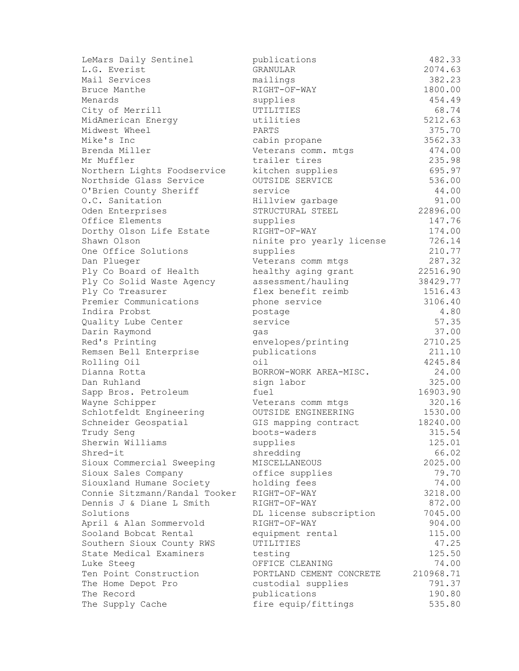| LeMars Daily Sentinel         | publications              | 482.33    |
|-------------------------------|---------------------------|-----------|
| L.G. Everist                  | <b>GRANULAR</b>           | 2074.63   |
| Mail Services                 | mailings                  | 382.23    |
| Bruce Manthe                  | RIGHT-OF-WAY              | 1800.00   |
| Menards                       | supplies                  | 454.49    |
| City of Merrill               | UTILITIES                 | 68.74     |
| MidAmerican Energy            | utilities                 | 5212.63   |
| Midwest Wheel                 | PARTS                     | 375.70    |
| Mike's Inc                    | cabin propane             | 3562.33   |
| Brenda Miller                 | Veterans comm. mtgs       | 474.00    |
| Mr Muffler                    | trailer tires             | 235.98    |
| Northern Lights Foodservice   | kitchen supplies          | 695.97    |
| Northside Glass Service       | OUTSIDE SERVICE           | 536.00    |
| O'Brien County Sheriff        | service                   | 44.00     |
| O.C. Sanitation               | Hillview garbage          | 91.00     |
| Oden Enterprises              | STRUCTURAL STEEL          | 22896.00  |
| Office Elements               | supplies                  | 147.76    |
| Dorthy Olson Life Estate      | RIGHT-OF-WAY              | 174.00    |
| Shawn Olson                   | ninite pro yearly license | 726.14    |
| One Office Solutions          | supplies                  | 210.77    |
| Dan Plueger                   | Veterans comm mtgs        | 287.32    |
| Ply Co Board of Health        | healthy aging grant       | 22516.90  |
| Ply Co Solid Waste Agency     | assessment/hauling        | 38429.77  |
| Ply Co Treasurer              | flex benefit reimb        | 1516.43   |
| Premier Communications        | phone service             | 3106.40   |
| Indira Probst                 | postage                   | 4.80      |
| Quality Lube Center           | service                   | 57.35     |
| Darin Raymond                 | qas                       | 37.00     |
| Red's Printing                | envelopes/printing        | 2710.25   |
| Remsen Bell Enterprise        | publications              | 211.10    |
| Rolling Oil                   | oil                       | 4245.84   |
| Dianna Rotta                  | BORROW-WORK AREA-MISC.    | 24.00     |
| Dan Ruhland                   | sign labor                | 325.00    |
| Sapp Bros. Petroleum          | fuel                      | 16903.90  |
| Wayne Schipper                | Veterans comm mtgs        | 320.16    |
| Schlotfeldt Engineering       | OUTSIDE ENGINEERING       | 1530.00   |
| Schneider Geospatial          | GIS mapping contract      | 18240.00  |
| Trudy Seng                    | boots-waders              | 315.54    |
| Sherwin Williams              | supplies                  | 125.01    |
| Shred-it                      | shredding                 | 66.02     |
| Sioux Commercial Sweeping     | MISCELLANEOUS             | 2025.00   |
| Sioux Sales Company           | office supplies           | 79.70     |
| Siouxland Humane Society      | holding fees              | 74.00     |
| Connie Sitzmann/Randal Tooker | RIGHT-OF-WAY              | 3218.00   |
| Dennis J & Diane L Smith      | RIGHT-OF-WAY              | 872.00    |
| Solutions                     | DL license subscription   | 7045.00   |
| April & Alan Sommervold       | RIGHT-OF-WAY              | 904.00    |
| Sooland Bobcat Rental         | equipment rental          | 115.00    |
| Southern Sioux County RWS     | UTILITIES                 | 47.25     |
| State Medical Examiners       | testing                   | 125.50    |
| Luke Steeg                    | OFFICE CLEANING           | 74.00     |
| Ten Point Construction        | PORTLAND CEMENT CONCRETE  | 210968.71 |
| The Home Depot Pro            | custodial supplies        | 791.37    |
| The Record                    | publications              | 190.80    |
| The Supply Cache              | fire equip/fittings       | 535.80    |
|                               |                           |           |